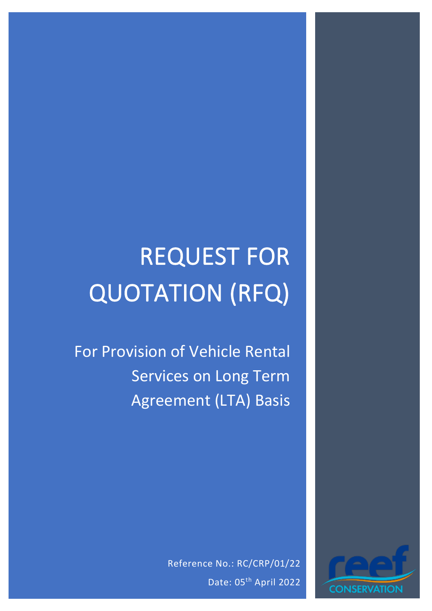# REQUEST FOR QUOTATION (RFQ)

For Provision of Vehicle Rental Services on Long Term Agreement (LTA) Basis

> Reference No.: RC/CRP/01/22 Date: 05<sup>th</sup> April 2022

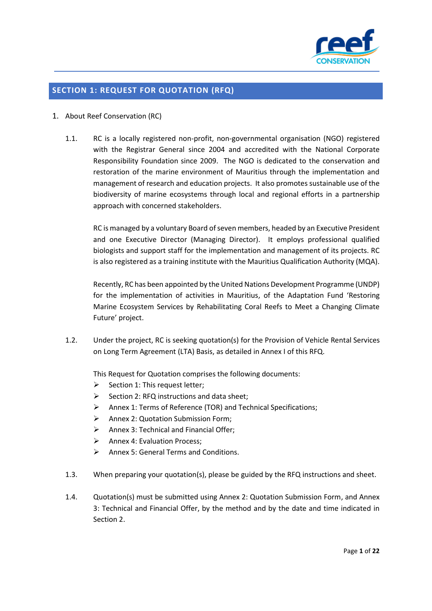

## **SECTION 1: REQUEST FOR QUOTATION (RFQ)**

## 1. About Reef Conservation (RC)

1.1. RC is a locally registered non-profit, non-governmental organisation (NGO) registered with the Registrar General since 2004 and accredited with the National Corporate Responsibility Foundation since 2009. The NGO is dedicated to the conservation and restoration of the marine environment of Mauritius through the implementation and management of research and education projects. It also promotes sustainable use of the biodiversity of marine ecosystems through local and regional efforts in a partnership approach with concerned stakeholders.

RC is managed by a voluntary Board of seven members, headed by an Executive President and one Executive Director (Managing Director). It employs professional qualified biologists and support staff for the implementation and management of its projects. RC is also registered as a training institute with the Mauritius Qualification Authority (MQA).

Recently, RC has been appointed by the United Nations Development Programme (UNDP) for the implementation of activities in Mauritius, of the Adaptation Fund 'Restoring Marine Ecosystem Services by Rehabilitating Coral Reefs to Meet a Changing Climate Future' project.

1.2. Under the project, RC is seeking quotation(s) for the Provision of Vehicle Rental Services on Long Term Agreement (LTA) Basis, as detailed in Annex I of this RFQ.

This Request for Quotation comprises the following documents:

- $\triangleright$  Section 1: This request letter;
- $\triangleright$  Section 2: RFQ instructions and data sheet;
- ➢ Annex 1: Terms of Reference (TOR) and Technical Specifications;
- ➢ Annex 2: Quotation Submission Form;
- $\triangleright$  Annex 3: Technical and Financial Offer:
- ➢ Annex 4: Evaluation Process;
- ➢ Annex 5: General Terms and Conditions.
- 1.3. When preparing your quotation(s), please be guided by the RFQ instructions and sheet.
- 1.4. Quotation(s) must be submitted using Annex 2: Quotation Submission Form, and Annex 3: Technical and Financial Offer, by the method and by the date and time indicated in Section 2.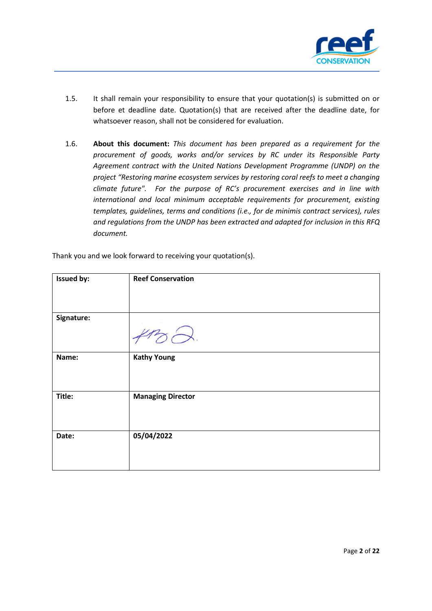

- 1.5. It shall remain your responsibility to ensure that your quotation(s) is submitted on or before et deadline date. Quotation(s) that are received after the deadline date, for whatsoever reason, shall not be considered for evaluation.
- 1.6. **About this document:** *This document has been prepared as a requirement for the procurement of goods, works and/or services by RC under its Responsible Party Agreement contract with the United Nations Development Programme (UNDP) on the project "Restoring marine ecosystem services by restoring coral reefs to meet a changing climate future". For the purpose of RC's procurement exercises and in line with international and local minimum acceptable requirements for procurement, existing templates, guidelines, terms and conditions (i.e., for de minimis contract services), rules and regulations from the UNDP has been extracted and adapted for inclusion in this RFQ document.*

| <b>Issued by:</b> | <b>Reef Conservation</b> |
|-------------------|--------------------------|
| Signature:        |                          |
| Name:             | <b>Kathy Young</b>       |
| Title:            | <b>Managing Director</b> |
| Date:             | 05/04/2022               |

Thank you and we look forward to receiving your quotation(s).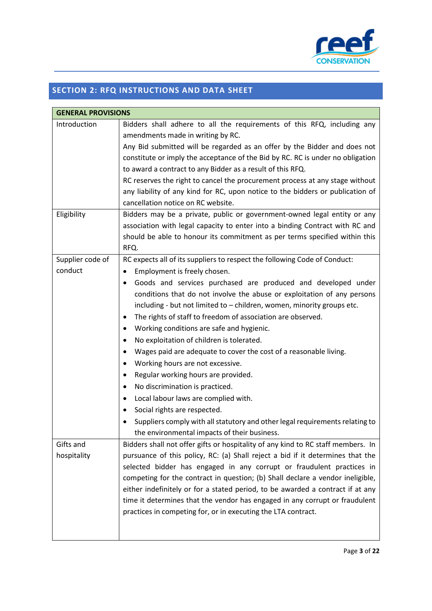

## **SECTION 2: RFQ INSTRUCTIONS AND DATA SHEET**

| <b>GENERAL PROVISIONS</b> |                                                                                  |  |  |
|---------------------------|----------------------------------------------------------------------------------|--|--|
| Introduction              | Bidders shall adhere to all the requirements of this RFQ, including any          |  |  |
|                           | amendments made in writing by RC.                                                |  |  |
|                           | Any Bid submitted will be regarded as an offer by the Bidder and does not        |  |  |
|                           | constitute or imply the acceptance of the Bid by RC. RC is under no obligation   |  |  |
|                           | to award a contract to any Bidder as a result of this RFQ.                       |  |  |
|                           | RC reserves the right to cancel the procurement process at any stage without     |  |  |
|                           | any liability of any kind for RC, upon notice to the bidders or publication of   |  |  |
|                           | cancellation notice on RC website.                                               |  |  |
| Eligibility               | Bidders may be a private, public or government-owned legal entity or any         |  |  |
|                           | association with legal capacity to enter into a binding Contract with RC and     |  |  |
|                           | should be able to honour its commitment as per terms specified within this       |  |  |
|                           | RFQ.                                                                             |  |  |
| Supplier code of          | RC expects all of its suppliers to respect the following Code of Conduct:        |  |  |
| conduct                   | Employment is freely chosen.<br>٠                                                |  |  |
|                           | Goods and services purchased are produced and developed under<br>٠               |  |  |
|                           | conditions that do not involve the abuse or exploitation of any persons          |  |  |
|                           | including - but not limited to - children, women, minority groups etc.           |  |  |
|                           | The rights of staff to freedom of association are observed.<br>٠                 |  |  |
|                           | Working conditions are safe and hygienic.<br>٠                                   |  |  |
|                           | No exploitation of children is tolerated.<br>٠                                   |  |  |
|                           | Wages paid are adequate to cover the cost of a reasonable living.<br>٠           |  |  |
|                           | Working hours are not excessive.<br>٠                                            |  |  |
|                           | Regular working hours are provided.<br>٠                                         |  |  |
|                           | No discrimination is practiced.<br>٠                                             |  |  |
|                           | Local labour laws are complied with.<br>$\bullet$                                |  |  |
|                           | Social rights are respected.<br>٠                                                |  |  |
|                           | Suppliers comply with all statutory and other legal requirements relating to     |  |  |
|                           | the environmental impacts of their business.                                     |  |  |
| Gifts and                 | Bidders shall not offer gifts or hospitality of any kind to RC staff members. In |  |  |
| hospitality               | pursuance of this policy, RC: (a) Shall reject a bid if it determines that the   |  |  |
|                           | selected bidder has engaged in any corrupt or fraudulent practices in            |  |  |
|                           | competing for the contract in question; (b) Shall declare a vendor ineligible,   |  |  |
|                           | either indefinitely or for a stated period, to be awarded a contract if at any   |  |  |
|                           | time it determines that the vendor has engaged in any corrupt or fraudulent      |  |  |
|                           | practices in competing for, or in executing the LTA contract.                    |  |  |
|                           |                                                                                  |  |  |
|                           |                                                                                  |  |  |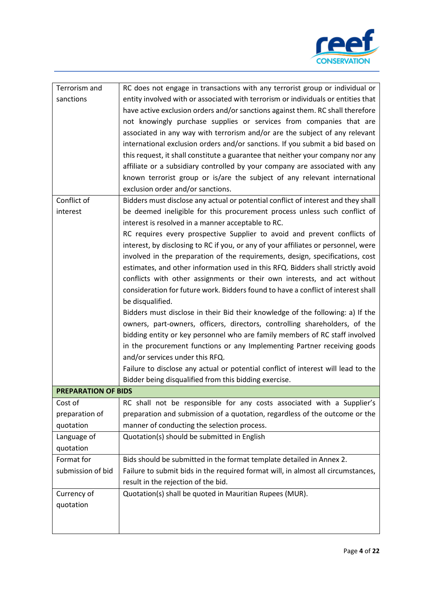

| Terrorism and              | RC does not engage in transactions with any terrorist group or individual or       |  |
|----------------------------|------------------------------------------------------------------------------------|--|
| sanctions                  | entity involved with or associated with terrorism or individuals or entities that  |  |
|                            | have active exclusion orders and/or sanctions against them. RC shall therefore     |  |
|                            | not knowingly purchase supplies or services from companies that are                |  |
|                            | associated in any way with terrorism and/or are the subject of any relevant        |  |
|                            | international exclusion orders and/or sanctions. If you submit a bid based on      |  |
|                            | this request, it shall constitute a guarantee that neither your company nor any    |  |
|                            | affiliate or a subsidiary controlled by your company are associated with any       |  |
|                            | known terrorist group or is/are the subject of any relevant international          |  |
|                            | exclusion order and/or sanctions.                                                  |  |
|                            |                                                                                    |  |
| Conflict of                | Bidders must disclose any actual or potential conflict of interest and they shall  |  |
| interest                   | be deemed ineligible for this procurement process unless such conflict of          |  |
|                            | interest is resolved in a manner acceptable to RC.                                 |  |
|                            | RC requires every prospective Supplier to avoid and prevent conflicts of           |  |
|                            | interest, by disclosing to RC if you, or any of your affiliates or personnel, were |  |
|                            | involved in the preparation of the requirements, design, specifications, cost      |  |
|                            | estimates, and other information used in this RFQ. Bidders shall strictly avoid    |  |
|                            | conflicts with other assignments or their own interests, and act without           |  |
|                            | consideration for future work. Bidders found to have a conflict of interest shall  |  |
|                            | be disqualified.                                                                   |  |
|                            | Bidders must disclose in their Bid their knowledge of the following: a) If the     |  |
|                            | owners, part-owners, officers, directors, controlling shareholders, of the         |  |
|                            | bidding entity or key personnel who are family members of RC staff involved        |  |
|                            | in the procurement functions or any Implementing Partner receiving goods           |  |
|                            | and/or services under this RFQ.                                                    |  |
|                            | Failure to disclose any actual or potential conflict of interest will lead to the  |  |
|                            | Bidder being disqualified from this bidding exercise.                              |  |
| <b>PREPARATION OF BIDS</b> |                                                                                    |  |
| Cost of                    | RC shall not be responsible for any costs associated with a Supplier's             |  |
| preparation of             | preparation and submission of a quotation, regardless of the outcome or the        |  |
| quotation                  | manner of conducting the selection process.                                        |  |
| Language of                | Quotation(s) should be submitted in English                                        |  |
| quotation                  |                                                                                    |  |
| Format for                 | Bids should be submitted in the format template detailed in Annex 2.               |  |
| submission of bid          | Failure to submit bids in the required format will, in almost all circumstances,   |  |
|                            | result in the rejection of the bid.                                                |  |
| Currency of                | Quotation(s) shall be quoted in Mauritian Rupees (MUR).                            |  |
| quotation                  |                                                                                    |  |
|                            |                                                                                    |  |
|                            |                                                                                    |  |
|                            |                                                                                    |  |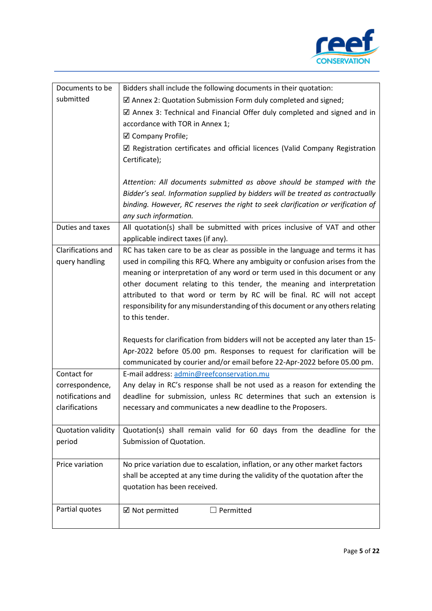

| Documents to be    | Bidders shall include the following documents in their quotation:                                                       |
|--------------------|-------------------------------------------------------------------------------------------------------------------------|
| submitted          | $\boxtimes$ Annex 2: Quotation Submission Form duly completed and signed;                                               |
|                    | $\boxtimes$ Annex 3: Technical and Financial Offer duly completed and signed and in                                     |
|                    | accordance with TOR in Annex 1;                                                                                         |
|                    | $\boxtimes$ Company Profile;                                                                                            |
|                    | $\boxtimes$ Registration certificates and official licences (Valid Company Registration                                 |
|                    | Certificate);                                                                                                           |
|                    |                                                                                                                         |
|                    | Attention: All documents submitted as above should be stamped with the                                                  |
|                    | Bidder's seal. Information supplied by bidders will be treated as contractually                                         |
|                    | binding. However, RC reserves the right to seek clarification or verification of                                        |
|                    | any such information.                                                                                                   |
| Duties and taxes   | All quotation(s) shall be submitted with prices inclusive of VAT and other                                              |
|                    | applicable indirect taxes (if any).                                                                                     |
| Clarifications and | RC has taken care to be as clear as possible in the language and terms it has                                           |
| query handling     | used in compiling this RFQ. Where any ambiguity or confusion arises from the                                            |
|                    | meaning or interpretation of any word or term used in this document or any                                              |
|                    | other document relating to this tender, the meaning and interpretation                                                  |
|                    | attributed to that word or term by RC will be final. RC will not accept                                                 |
|                    | responsibility for any misunderstanding of this document or any others relating                                         |
|                    | to this tender.                                                                                                         |
|                    |                                                                                                                         |
|                    | Requests for clarification from bidders will not be accepted any later than 15-                                         |
|                    | Apr-2022 before 05.00 pm. Responses to request for clarification will be                                                |
| Contact for        | communicated by courier and/or email before 22-Apr-2022 before 05.00 pm.                                                |
| correspondence,    | E-mail address: admin@reefconservation.mu<br>Any delay in RC's response shall be not used as a reason for extending the |
| notifications and  | deadline for submission, unless RC determines that such an extension is                                                 |
| clarifications     | necessary and communicates a new deadline to the Proposers.                                                             |
|                    |                                                                                                                         |
| Quotation validity | Quotation(s) shall remain valid for 60 days from the deadline for the                                                   |
| period             | Submission of Quotation.                                                                                                |
|                    |                                                                                                                         |
| Price variation    | No price variation due to escalation, inflation, or any other market factors                                            |
|                    | shall be accepted at any time during the validity of the quotation after the                                            |
|                    | quotation has been received.                                                                                            |
|                    |                                                                                                                         |
| Partial quotes     | ☑ Not permitted<br>$\Box$ Permitted                                                                                     |
|                    |                                                                                                                         |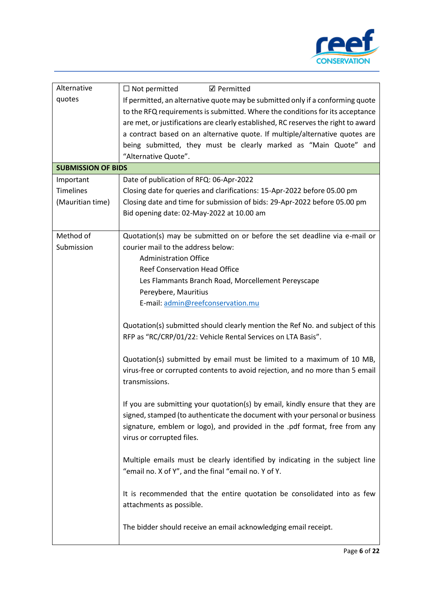

| Alternative               | $\Box$ Not permitted<br><b>☑</b> Permitted                                                                                                                                                                                                                                                                                                                                                                                        |  |  |
|---------------------------|-----------------------------------------------------------------------------------------------------------------------------------------------------------------------------------------------------------------------------------------------------------------------------------------------------------------------------------------------------------------------------------------------------------------------------------|--|--|
| quotes                    | If permitted, an alternative quote may be submitted only if a conforming quote<br>to the RFQ requirements is submitted. Where the conditions for its acceptance<br>are met, or justifications are clearly established, RC reserves the right to award<br>a contract based on an alternative quote. If multiple/alternative quotes are<br>being submitted, they must be clearly marked as "Main Quote" and<br>"Alternative Quote". |  |  |
| <b>SUBMISSION OF BIDS</b> |                                                                                                                                                                                                                                                                                                                                                                                                                                   |  |  |
| Important                 | Date of publication of RFQ: 06-Apr-2022                                                                                                                                                                                                                                                                                                                                                                                           |  |  |
| <b>Timelines</b>          | Closing date for queries and clarifications: 15-Apr-2022 before 05.00 pm                                                                                                                                                                                                                                                                                                                                                          |  |  |
| (Mauritian time)          | Closing date and time for submission of bids: 29-Apr-2022 before 05.00 pm<br>Bid opening date: 02-May-2022 at 10.00 am                                                                                                                                                                                                                                                                                                            |  |  |
| Method of                 | Quotation(s) may be submitted on or before the set deadline via e-mail or                                                                                                                                                                                                                                                                                                                                                         |  |  |
| Submission                | courier mail to the address below:                                                                                                                                                                                                                                                                                                                                                                                                |  |  |
|                           | <b>Administration Office</b>                                                                                                                                                                                                                                                                                                                                                                                                      |  |  |
|                           | <b>Reef Conservation Head Office</b>                                                                                                                                                                                                                                                                                                                                                                                              |  |  |
|                           | Les Flammants Branch Road, Morcellement Pereyscape                                                                                                                                                                                                                                                                                                                                                                                |  |  |
| Pereybere, Mauritius      |                                                                                                                                                                                                                                                                                                                                                                                                                                   |  |  |
|                           | E-mail: admin@reefconservation.mu                                                                                                                                                                                                                                                                                                                                                                                                 |  |  |
|                           | Quotation(s) submitted should clearly mention the Ref No. and subject of this<br>RFP as "RC/CRP/01/22: Vehicle Rental Services on LTA Basis".                                                                                                                                                                                                                                                                                     |  |  |
|                           | Quotation(s) submitted by email must be limited to a maximum of 10 MB,<br>virus-free or corrupted contents to avoid rejection, and no more than 5 email<br>transmissions.                                                                                                                                                                                                                                                         |  |  |
|                           | If you are submitting your quotation(s) by email, kindly ensure that they are<br>signed, stamped (to authenticate the document with your personal or business<br>signature, emblem or logo), and provided in the .pdf format, free from any<br>virus or corrupted files.                                                                                                                                                          |  |  |
|                           | Multiple emails must be clearly identified by indicating in the subject line<br>"email no. X of Y", and the final "email no. Y of Y.                                                                                                                                                                                                                                                                                              |  |  |
|                           | It is recommended that the entire quotation be consolidated into as few<br>attachments as possible.                                                                                                                                                                                                                                                                                                                               |  |  |
|                           | The bidder should receive an email acknowledging email receipt.                                                                                                                                                                                                                                                                                                                                                                   |  |  |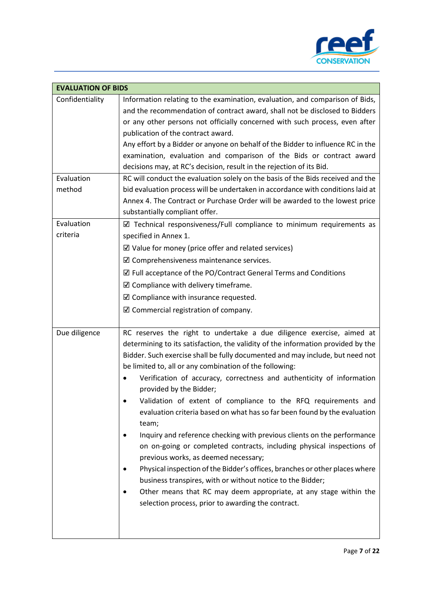

| <b>EVALUATION OF BIDS</b> |                                                                                                                                                                                                                                                                                                                                                                                                                                                                                                                                                                                                                                                                                                                                                                                                                                                                                                                                                                                                                                                 |  |
|---------------------------|-------------------------------------------------------------------------------------------------------------------------------------------------------------------------------------------------------------------------------------------------------------------------------------------------------------------------------------------------------------------------------------------------------------------------------------------------------------------------------------------------------------------------------------------------------------------------------------------------------------------------------------------------------------------------------------------------------------------------------------------------------------------------------------------------------------------------------------------------------------------------------------------------------------------------------------------------------------------------------------------------------------------------------------------------|--|
| Confidentiality           | Information relating to the examination, evaluation, and comparison of Bids,<br>and the recommendation of contract award, shall not be disclosed to Bidders<br>or any other persons not officially concerned with such process, even after<br>publication of the contract award.<br>Any effort by a Bidder or anyone on behalf of the Bidder to influence RC in the<br>examination, evaluation and comparison of the Bids or contract award<br>decisions may, at RC's decision, result in the rejection of its Bid.                                                                                                                                                                                                                                                                                                                                                                                                                                                                                                                             |  |
| Evaluation<br>method      | RC will conduct the evaluation solely on the basis of the Bids received and the<br>bid evaluation process will be undertaken in accordance with conditions laid at<br>Annex 4. The Contract or Purchase Order will be awarded to the lowest price<br>substantially compliant offer.                                                                                                                                                                                                                                                                                                                                                                                                                                                                                                                                                                                                                                                                                                                                                             |  |
| Evaluation<br>criteria    | $\boxtimes$ Technical responsiveness/Full compliance to minimum requirements as<br>specified in Annex 1.<br>$\boxtimes$ Value for money (price offer and related services)<br>$\mathbb Z$ Comprehensiveness maintenance services.<br>$\boxtimes$ Full acceptance of the PO/Contract General Terms and Conditions<br>$\boxtimes$ Compliance with delivery timeframe.<br>$\boxtimes$ Compliance with insurance requested.<br>$\boxtimes$ Commercial registration of company.                                                                                                                                                                                                                                                                                                                                                                                                                                                                                                                                                                      |  |
| Due diligence             | RC reserves the right to undertake a due diligence exercise, aimed at<br>determining to its satisfaction, the validity of the information provided by the<br>Bidder. Such exercise shall be fully documented and may include, but need not<br>be limited to, all or any combination of the following:<br>Verification of accuracy, correctness and authenticity of information<br>provided by the Bidder;<br>Validation of extent of compliance to the RFQ requirements and<br>evaluation criteria based on what has so far been found by the evaluation<br>team;<br>Inquiry and reference checking with previous clients on the performance<br>on on-going or completed contracts, including physical inspections of<br>previous works, as deemed necessary;<br>Physical inspection of the Bidder's offices, branches or other places where<br>٠<br>business transpires, with or without notice to the Bidder;<br>Other means that RC may deem appropriate, at any stage within the<br>٠<br>selection process, prior to awarding the contract. |  |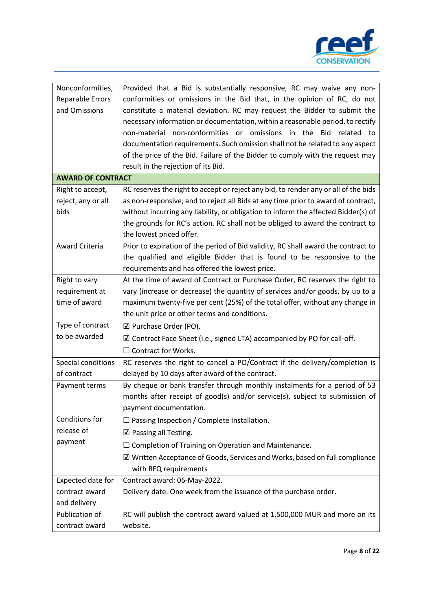

| Nonconformities,         | Provided that a Bid is substantially responsive, RC may waive any non-              |  |  |
|--------------------------|-------------------------------------------------------------------------------------|--|--|
| Reparable Errors         | conformities or omissions in the Bid that, in the opinion of RC, do not             |  |  |
| and Omissions            | constitute a material deviation. RC may request the Bidder to submit the            |  |  |
|                          | necessary information or documentation, within a reasonable period, to rectify      |  |  |
|                          | non-material non-conformities or omissions in the Bid related to                    |  |  |
|                          | documentation requirements. Such omission shall not be related to any aspect        |  |  |
|                          | of the price of the Bid. Failure of the Bidder to comply with the request may       |  |  |
|                          | result in the rejection of its Bid.                                                 |  |  |
| <b>AWARD OF CONTRACT</b> |                                                                                     |  |  |
| Right to accept,         | RC reserves the right to accept or reject any bid, to render any or all of the bids |  |  |
| reject, any or all       | as non-responsive, and to reject all Bids at any time prior to award of contract,   |  |  |
| bids                     | without incurring any liability, or obligation to inform the affected Bidder(s) of  |  |  |
|                          | the grounds for RC's action. RC shall not be obliged to award the contract to       |  |  |
|                          | the lowest priced offer.                                                            |  |  |
| <b>Award Criteria</b>    | Prior to expiration of the period of Bid validity, RC shall award the contract to   |  |  |
|                          | the qualified and eligible Bidder that is found to be responsive to the             |  |  |
|                          | requirements and has offered the lowest price.                                      |  |  |
| Right to vary            | At the time of award of Contract or Purchase Order, RC reserves the right to        |  |  |
| requirement at           | vary (increase or decrease) the quantity of services and/or goods, by up to a       |  |  |
| time of award            | maximum twenty-five per cent (25%) of the total offer, without any change in        |  |  |
|                          | the unit price or other terms and conditions.                                       |  |  |
| Type of contract         | $\boxtimes$ Purchase Order (PO).                                                    |  |  |
| to be awarded            | ☑ Contract Face Sheet (i.e., signed LTA) accompanied by PO for call-off.            |  |  |
|                          | $\Box$ Contract for Works.                                                          |  |  |
| Special conditions       | RC reserves the right to cancel a PO/Contract if the delivery/completion is         |  |  |
| of contract              | delayed by 10 days after award of the contract.                                     |  |  |
| Payment terms            | By cheque or bank transfer through monthly instalments for a period of 53           |  |  |
|                          | months after receipt of good(s) and/or service(s), subject to submission of         |  |  |
|                          | payment documentation.                                                              |  |  |
| Conditions for           | $\Box$ Passing Inspection / Complete Installation.                                  |  |  |
| release of               | $\boxtimes$ Passing all Testing.                                                    |  |  |
| payment                  | $\Box$ Completion of Training on Operation and Maintenance.                         |  |  |
|                          | ☑ Written Acceptance of Goods, Services and Works, based on full compliance         |  |  |
|                          | with RFQ requirements                                                               |  |  |
| Expected date for        | Contract award: 06-May-2022.                                                        |  |  |
| contract award           | Delivery date: One week from the issuance of the purchase order.                    |  |  |
| and delivery             |                                                                                     |  |  |
| Publication of           |                                                                                     |  |  |
|                          | RC will publish the contract award valued at 1,500,000 MUR and more on its          |  |  |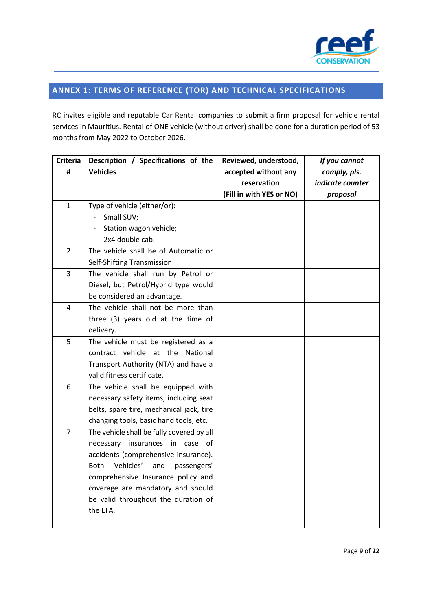

## **ANNEX 1: TERMS OF REFERENCE (TOR) AND TECHNICAL SPECIFICATIONS**

RC invites eligible and reputable Car Rental companies to submit a firm proposal for vehicle rental services in Mauritius. Rental of ONE vehicle (without driver) shall be done for a duration period of 53 months from May 2022 to October 2026.

| <b>Criteria</b> | Description / Specifications of the            | Reviewed, understood,    | If you cannot    |
|-----------------|------------------------------------------------|--------------------------|------------------|
| #               | <b>Vehicles</b>                                | accepted without any     | comply, pls.     |
|                 |                                                | reservation              | indicate counter |
|                 |                                                | (Fill in with YES or NO) | proposal         |
| $\mathbf{1}$    | Type of vehicle (either/or):                   |                          |                  |
|                 | Small SUV;<br>$\overline{\phantom{0}}$         |                          |                  |
|                 | Station wagon vehicle;                         |                          |                  |
|                 | 2x4 double cab.                                |                          |                  |
| $\overline{2}$  | The vehicle shall be of Automatic or           |                          |                  |
|                 | Self-Shifting Transmission.                    |                          |                  |
| 3               | The vehicle shall run by Petrol or             |                          |                  |
|                 | Diesel, but Petrol/Hybrid type would           |                          |                  |
|                 | be considered an advantage.                    |                          |                  |
| 4               | The vehicle shall not be more than             |                          |                  |
|                 | three (3) years old at the time of             |                          |                  |
|                 | delivery.                                      |                          |                  |
| 5               | The vehicle must be registered as a            |                          |                  |
|                 | contract vehicle at the National               |                          |                  |
|                 | Transport Authority (NTA) and have a           |                          |                  |
|                 | valid fitness certificate.                     |                          |                  |
| 6               | The vehicle shall be equipped with             |                          |                  |
|                 | necessary safety items, including seat         |                          |                  |
|                 | belts, spare tire, mechanical jack, tire       |                          |                  |
|                 | changing tools, basic hand tools, etc.         |                          |                  |
| $\overline{7}$  | The vehicle shall be fully covered by all      |                          |                  |
|                 | necessary insurances in case of                |                          |                  |
|                 | accidents (comprehensive insurance).           |                          |                  |
|                 | Vehicles'<br><b>Both</b><br>passengers'<br>and |                          |                  |
|                 | comprehensive Insurance policy and             |                          |                  |
|                 | coverage are mandatory and should              |                          |                  |
|                 | be valid throughout the duration of            |                          |                  |
|                 | the LTA.                                       |                          |                  |
|                 |                                                |                          |                  |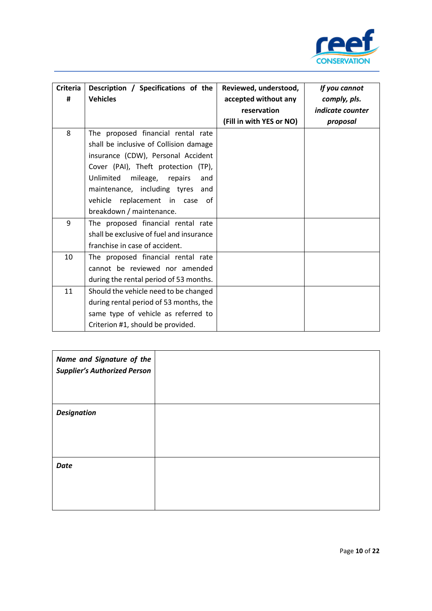

| <b>Criteria</b><br># | Description / Specifications of the<br><b>Vehicles</b>                                                                                                                                                                                                                                                 | Reviewed, understood,<br>accepted without any<br>reservation<br>(Fill in with YES or NO) | If you cannot<br>comply, pls.<br><i>indicate counter</i><br>proposal |
|----------------------|--------------------------------------------------------------------------------------------------------------------------------------------------------------------------------------------------------------------------------------------------------------------------------------------------------|------------------------------------------------------------------------------------------|----------------------------------------------------------------------|
| 8                    | The proposed financial rental rate<br>shall be inclusive of Collision damage<br>insurance (CDW), Personal Accident<br>Cover (PAI), Theft protection (TP),<br>Unlimited<br>mileage, repairs<br>and<br>maintenance, including tyres and<br>vehicle replacement in case<br>of<br>breakdown / maintenance. |                                                                                          |                                                                      |
| 9                    | The proposed financial rental rate<br>shall be exclusive of fuel and insurance<br>franchise in case of accident.                                                                                                                                                                                       |                                                                                          |                                                                      |
| 10                   | The proposed financial rental rate<br>cannot be reviewed nor amended<br>during the rental period of 53 months.                                                                                                                                                                                         |                                                                                          |                                                                      |
| 11                   | Should the vehicle need to be changed<br>during rental period of 53 months, the<br>same type of vehicle as referred to<br>Criterion #1, should be provided.                                                                                                                                            |                                                                                          |                                                                      |

| Name and Signature of the<br><b>Supplier's Authorized Person</b> |  |
|------------------------------------------------------------------|--|
| <b>Designation</b>                                               |  |
| <b>Date</b>                                                      |  |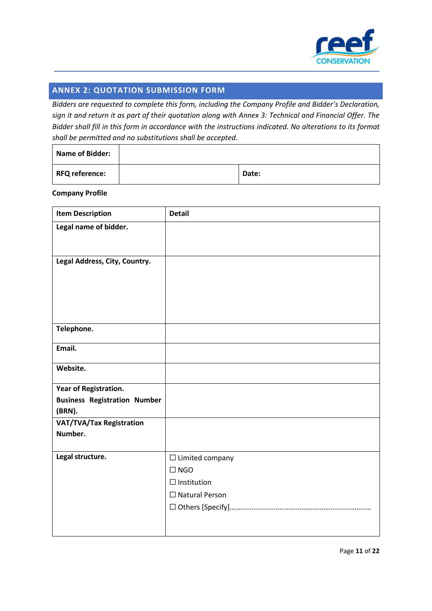

## **ANNEX 2: QUOTATION SUBMISSION FORM**

*Bidders are requested to complete this form, including the Company Profile and Bidder's Declaration, sign it and return it as part of their quotation along with Annex 3: Technical and Financial Offer. The Bidder shall fill in this form in accordance with the instructions indicated. No alterations to its format shall be permitted and no substitutions shall be accepted.* 

| <b>Name of Bidder:</b> |       |
|------------------------|-------|
| <b>RFQ reference:</b>  | Date: |

#### **Company Profile**

| <b>Item Description</b>             | <b>Detail</b>          |
|-------------------------------------|------------------------|
| Legal name of bidder.               |                        |
|                                     |                        |
|                                     |                        |
| Legal Address, City, Country.       |                        |
|                                     |                        |
|                                     |                        |
|                                     |                        |
|                                     |                        |
| Telephone.                          |                        |
|                                     |                        |
| Email.                              |                        |
| Website.                            |                        |
|                                     |                        |
| Year of Registration.               |                        |
| <b>Business Registration Number</b> |                        |
| (BRN).                              |                        |
| VAT/TVA/Tax Registration            |                        |
| Number.                             |                        |
|                                     |                        |
| Legal structure.                    | $\Box$ Limited company |
|                                     | $\Box$ NGO             |
|                                     | $\Box$ Institution     |
|                                     | $\Box$ Natural Person  |
|                                     |                        |
|                                     |                        |
|                                     |                        |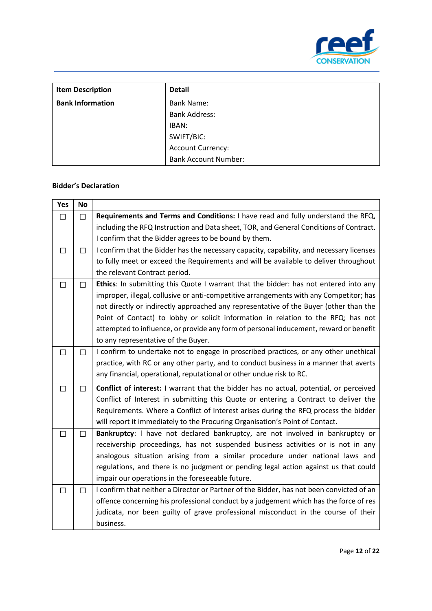

| <b>Item Description</b> | <b>Detail</b>               |
|-------------------------|-----------------------------|
| <b>Bank Information</b> | <b>Bank Name:</b>           |
|                         | <b>Bank Address:</b>        |
|                         | IBAN:                       |
|                         | SWIFT/BIC:                  |
|                         | <b>Account Currency:</b>    |
|                         | <b>Bank Account Number:</b> |

## **Bidder's Declaration**

| Yes    | <b>No</b> |                                                                                          |
|--------|-----------|------------------------------------------------------------------------------------------|
| □      | П         | Requirements and Terms and Conditions: I have read and fully understand the RFQ,         |
|        |           | including the RFQ Instruction and Data sheet, TOR, and General Conditions of Contract.   |
|        |           | I confirm that the Bidder agrees to be bound by them.                                    |
| □      | $\Box$    | I confirm that the Bidder has the necessary capacity, capability, and necessary licenses |
|        |           | to fully meet or exceed the Requirements and will be available to deliver throughout     |
|        |           | the relevant Contract period.                                                            |
| $\Box$ | П         | Ethics: In submitting this Quote I warrant that the bidder: has not entered into any     |
|        |           | improper, illegal, collusive or anti-competitive arrangements with any Competitor; has   |
|        |           | not directly or indirectly approached any representative of the Buyer (other than the    |
|        |           | Point of Contact) to lobby or solicit information in relation to the RFQ; has not        |
|        |           | attempted to influence, or provide any form of personal inducement, reward or benefit    |
|        |           | to any representative of the Buyer.                                                      |
| □      | $\Box$    | I confirm to undertake not to engage in proscribed practices, or any other unethical     |
|        |           | practice, with RC or any other party, and to conduct business in a manner that averts    |
|        |           | any financial, operational, reputational or other undue risk to RC.                      |
| $\Box$ | $\Box$    | Conflict of interest: I warrant that the bidder has no actual, potential, or perceived   |
|        |           | Conflict of Interest in submitting this Quote or entering a Contract to deliver the      |
|        |           | Requirements. Where a Conflict of Interest arises during the RFQ process the bidder      |
|        |           | will report it immediately to the Procuring Organisation's Point of Contact.             |
| □      | П         | Bankruptcy: I have not declared bankruptcy, are not involved in bankruptcy or            |
|        |           | receivership proceedings, has not suspended business activities or is not in any         |
|        |           | analogous situation arising from a similar procedure under national laws and             |
|        |           | regulations, and there is no judgment or pending legal action against us that could      |
|        |           | impair our operations in the foreseeable future.                                         |
| □      | $\Box$    | I confirm that neither a Director or Partner of the Bidder, has not been convicted of an |
|        |           | offence concerning his professional conduct by a judgement which has the force of res    |
|        |           | judicata, nor been guilty of grave professional misconduct in the course of their        |
|        |           | business.                                                                                |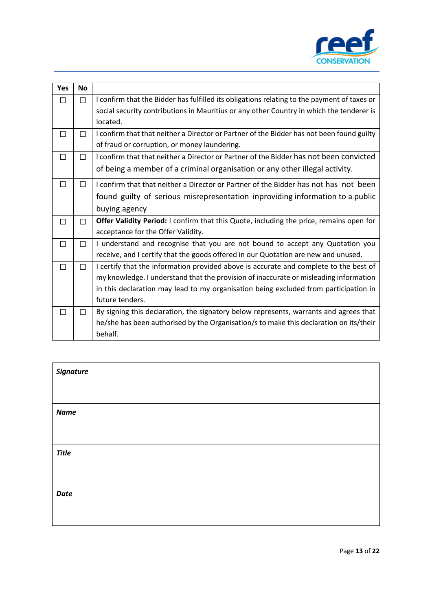

| <b>Yes</b> | <b>No</b>    |                                                                                             |
|------------|--------------|---------------------------------------------------------------------------------------------|
| П          | П            | I confirm that the Bidder has fulfilled its obligations relating to the payment of taxes or |
|            |              | social security contributions in Mauritius or any other Country in which the tenderer is    |
|            |              | located.                                                                                    |
| □          | $\mathsf{L}$ | I confirm that that neither a Director or Partner of the Bidder has not been found guilty   |
|            |              | of fraud or corruption, or money laundering.                                                |
| □          | П            | I confirm that that neither a Director or Partner of the Bidder has not been convicted      |
|            |              | of being a member of a criminal organisation or any other illegal activity.                 |
| □          | П            | I confirm that that neither a Director or Partner of the Bidder has not has not been        |
|            |              | found guilty of serious misrepresentation inproviding information to a public               |
|            |              | buying agency                                                                               |
| П          | П            | Offer Validity Period: I confirm that this Quote, including the price, remains open for     |
|            |              | acceptance for the Offer Validity.                                                          |
| П          | П            | I understand and recognise that you are not bound to accept any Quotation you               |
|            |              | receive, and I certify that the goods offered in our Quotation are new and unused.          |
| □          | П            | I certify that the information provided above is accurate and complete to the best of       |
|            |              | my knowledge. I understand that the provision of inaccurate or misleading information       |
|            |              | in this declaration may lead to my organisation being excluded from participation in        |
|            |              | future tenders.                                                                             |
| П          | П            | By signing this declaration, the signatory below represents, warrants and agrees that       |
|            |              | he/she has been authorised by the Organisation/s to make this declaration on its/their      |
|            |              | behalf.                                                                                     |

| <b>Signature</b> |  |
|------------------|--|
|                  |  |
| <b>Name</b>      |  |
|                  |  |
| <b>Title</b>     |  |
|                  |  |
| <b>Date</b>      |  |
|                  |  |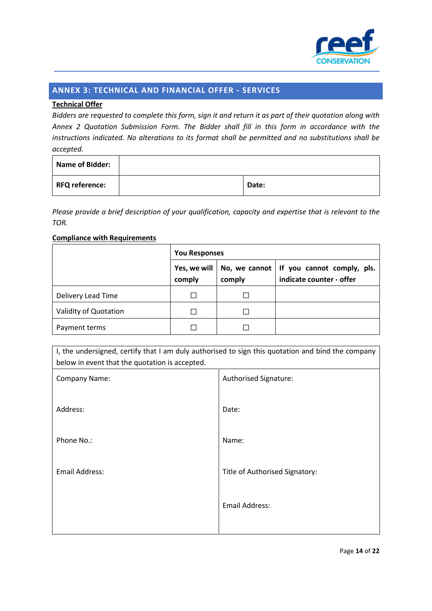

## **ANNEX 3: TECHNICAL AND FINANCIAL OFFER - SERVICES**

## **Technical Offer**

*Bidders are requested to complete this form, sign it and return it as part of their quotation along with Annex 2 Quotation Submission Form. The Bidder shall fill in this form in accordance with the instructions indicated. No alterations to its format shall be permitted and no substitutions shall be accepted.*

| <b>Name of Bidder:</b> |       |
|------------------------|-------|
| RFQ reference:         | Date: |

*Please provide a brief description of your qualification, capacity and expertise that is relevant to the TOR.*

## **Compliance with Requirements**

|                       | <b>You Responses</b>   |        |                                                                          |
|-----------------------|------------------------|--------|--------------------------------------------------------------------------|
|                       | Yes, we will<br>comply | comply | No, we cannot $ $ if you cannot comply, pls.<br>indicate counter - offer |
| Delivery Lead Time    |                        |        |                                                                          |
| Validity of Quotation |                        |        |                                                                          |
| Payment terms         |                        |        |                                                                          |

| I, the undersigned, certify that I am duly authorised to sign this quotation and bind the company<br>below in event that the quotation is accepted. |                                |  |  |
|-----------------------------------------------------------------------------------------------------------------------------------------------------|--------------------------------|--|--|
| Company Name:                                                                                                                                       | Authorised Signature:          |  |  |
| Address:                                                                                                                                            | Date:                          |  |  |
| Phone No.:                                                                                                                                          | Name:                          |  |  |
| Email Address:                                                                                                                                      | Title of Authorised Signatory: |  |  |
|                                                                                                                                                     | <b>Email Address:</b>          |  |  |
|                                                                                                                                                     |                                |  |  |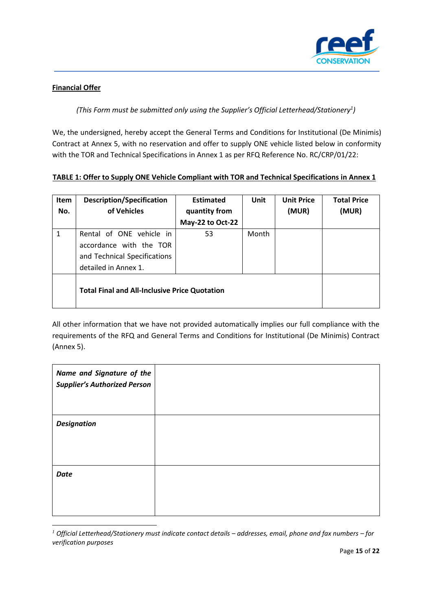

## **Financial Offer**

## *(This Form must be submitted only using the Supplier's Official Letterhead/Stationery<sup>1</sup> )*

We, the undersigned, hereby accept the General Terms and Conditions for Institutional (De Minimis) Contract at Annex 5, with no reservation and offer to supply ONE vehicle listed below in conformity with the TOR and Technical Specifications in Annex 1 as per RFQ Reference No. RC/CRP/01/22:

## **TABLE 1: Offer to Supply ONE Vehicle Compliant with TOR and Technical Specifications in Annex 1**

| <b>Item</b><br>No. | <b>Description/Specification</b><br>of Vehicles                                                             | <b>Estimated</b><br>quantity from<br>May-22 to Oct-22 | Unit  | <b>Unit Price</b><br>(MUR) | <b>Total Price</b><br>(MUR) |
|--------------------|-------------------------------------------------------------------------------------------------------------|-------------------------------------------------------|-------|----------------------------|-----------------------------|
| 1                  | Rental of ONE vehicle in<br>accordance with the TOR<br>and Technical Specifications<br>detailed in Annex 1. | 53                                                    | Month |                            |                             |
|                    | <b>Total Final and All-Inclusive Price Quotation</b>                                                        |                                                       |       |                            |                             |

All other information that we have not provided automatically implies our full compliance with the requirements of the RFQ and General Terms and Conditions for Institutional (De Minimis) Contract (Annex 5).

| Name and Signature of the<br><b>Supplier's Authorized Person</b> |  |
|------------------------------------------------------------------|--|
| <b>Designation</b>                                               |  |
| <b>Date</b>                                                      |  |

*<sup>1</sup> Official Letterhead/Stationery must indicate contact details – addresses, email, phone and fax numbers – for verification purposes*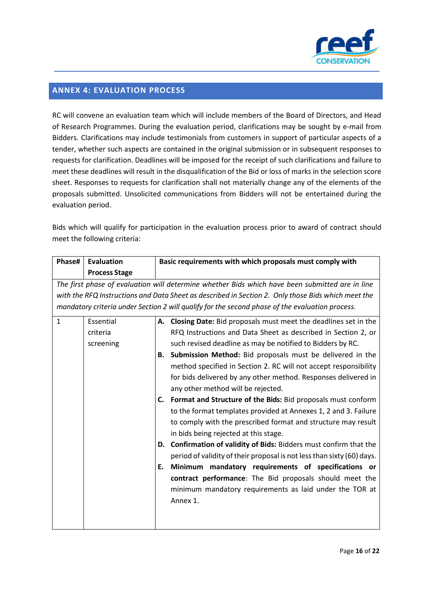

## **ANNEX 4: EVALUATION PROCESS**

RC will convene an evaluation team which will include members of the Board of Directors, and Head of Research Programmes. During the evaluation period, clarifications may be sought by e-mail from Bidders. Clarifications may include testimonials from customers in support of particular aspects of a tender, whether such aspects are contained in the original submission or in subsequent responses to requests for clarification. Deadlines will be imposed for the receipt of such clarifications and failure to meet these deadlines will result in the disqualification of the Bid or loss of marks in the selection score sheet. Responses to requests for clarification shall not materially change any of the elements of the proposals submitted. Unsolicited communications from Bidders will not be entertained during the evaluation period.

Bids which will qualify for participation in the evaluation process prior to award of contract should meet the following criteria:

| Phase#       | <b>Evaluation</b>    | Basic requirements with which proposals must comply with |                                                                                                    |
|--------------|----------------------|----------------------------------------------------------|----------------------------------------------------------------------------------------------------|
|              | <b>Process Stage</b> |                                                          |                                                                                                    |
|              |                      |                                                          | The first phase of evaluation will determine whether Bids which have been submitted are in line    |
|              |                      |                                                          | with the RFQ Instructions and Data Sheet as described in Section 2. Only those Bids which meet the |
|              |                      |                                                          | mandatory criteria under Section 2 will qualify for the second phase of the evaluation process.    |
| $\mathbf{1}$ | Essential            |                                                          | A. Closing Date: Bid proposals must meet the deadlines set in the                                  |
|              | criteria             |                                                          | RFQ Instructions and Data Sheet as described in Section 2, or                                      |
|              | screening            |                                                          | such revised deadline as may be notified to Bidders by RC.                                         |
|              |                      |                                                          | B. Submission Method: Bid proposals must be delivered in the                                       |
|              |                      |                                                          | method specified in Section 2. RC will not accept responsibility                                   |
|              |                      |                                                          | for bids delivered by any other method. Responses delivered in                                     |
|              |                      |                                                          | any other method will be rejected.                                                                 |
|              |                      |                                                          | C. Format and Structure of the Bids: Bid proposals must conform                                    |
|              |                      |                                                          | to the format templates provided at Annexes 1, 2 and 3. Failure                                    |
|              |                      |                                                          | to comply with the prescribed format and structure may result                                      |
|              |                      |                                                          | in bids being rejected at this stage.                                                              |
|              |                      |                                                          | D. Confirmation of validity of Bids: Bidders must confirm that the                                 |
|              |                      |                                                          | period of validity of their proposal is not less than sixty (60) days.                             |
|              |                      | Е.                                                       | Minimum mandatory requirements of specifications or                                                |
|              |                      |                                                          | contract performance: The Bid proposals should meet the                                            |
|              |                      |                                                          | minimum mandatory requirements as laid under the TOR at                                            |
|              |                      |                                                          | Annex 1.                                                                                           |
|              |                      |                                                          |                                                                                                    |
|              |                      |                                                          |                                                                                                    |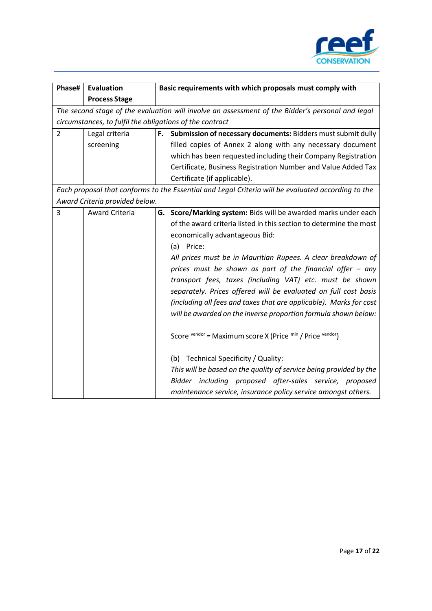

| Phase#         | <b>Evaluation</b>                                        |    | Basic requirements with which proposals must comply with                                                                                                                                                                                                                                                                                                                                                                                                                                                                                                                                                                                                                                                  |
|----------------|----------------------------------------------------------|----|-----------------------------------------------------------------------------------------------------------------------------------------------------------------------------------------------------------------------------------------------------------------------------------------------------------------------------------------------------------------------------------------------------------------------------------------------------------------------------------------------------------------------------------------------------------------------------------------------------------------------------------------------------------------------------------------------------------|
|                | <b>Process Stage</b>                                     |    |                                                                                                                                                                                                                                                                                                                                                                                                                                                                                                                                                                                                                                                                                                           |
|                |                                                          |    | The second stage of the evaluation will involve an assessment of the Bidder's personal and legal                                                                                                                                                                                                                                                                                                                                                                                                                                                                                                                                                                                                          |
|                | circumstances, to fulfil the obligations of the contract |    |                                                                                                                                                                                                                                                                                                                                                                                                                                                                                                                                                                                                                                                                                                           |
| $\overline{2}$ | Legal criteria                                           | F. | Submission of necessary documents: Bidders must submit dully                                                                                                                                                                                                                                                                                                                                                                                                                                                                                                                                                                                                                                              |
|                | screening                                                |    | filled copies of Annex 2 along with any necessary document                                                                                                                                                                                                                                                                                                                                                                                                                                                                                                                                                                                                                                                |
|                |                                                          |    | which has been requested including their Company Registration                                                                                                                                                                                                                                                                                                                                                                                                                                                                                                                                                                                                                                             |
|                |                                                          |    | Certificate, Business Registration Number and Value Added Tax                                                                                                                                                                                                                                                                                                                                                                                                                                                                                                                                                                                                                                             |
|                |                                                          |    | Certificate (if applicable).                                                                                                                                                                                                                                                                                                                                                                                                                                                                                                                                                                                                                                                                              |
|                |                                                          |    | Each proposal that conforms to the Essential and Legal Criteria will be evaluated according to the                                                                                                                                                                                                                                                                                                                                                                                                                                                                                                                                                                                                        |
|                | Award Criteria provided below.                           |    |                                                                                                                                                                                                                                                                                                                                                                                                                                                                                                                                                                                                                                                                                                           |
| 3              | <b>Award Criteria</b>                                    |    | G. Score/Marking system: Bids will be awarded marks under each<br>of the award criteria listed in this section to determine the most<br>economically advantageous Bid:<br>Price:<br>(a)                                                                                                                                                                                                                                                                                                                                                                                                                                                                                                                   |
|                |                                                          |    | All prices must be in Mauritian Rupees. A clear breakdown of<br>prices must be shown as part of the financial offer $-$ any<br>transport fees, taxes (including VAT) etc. must be shown<br>separately. Prices offered will be evaluated on full cost basis<br>(including all fees and taxes that are applicable). Marks for cost<br>will be awarded on the inverse proportion formula shown below:<br>Score vendor = Maximum score X (Price min / Price vendor)<br>(b) Technical Specificity / Quality:<br>This will be based on the quality of service being provided by the<br>Bidder including proposed after-sales service, proposed<br>maintenance service, insurance policy service amongst others. |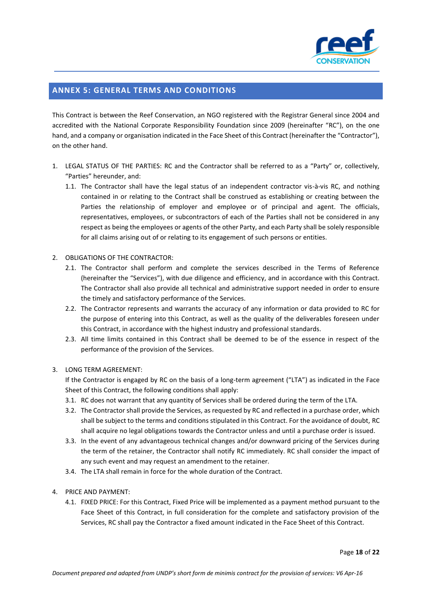

## **ANNEX 5: GENERAL TERMS AND CONDITIONS**

This Contract is between the Reef Conservation, an NGO registered with the Registrar General since 2004 and accredited with the National Corporate Responsibility Foundation since 2009 (hereinafter "RC"), on the one hand, and a company or organisation indicated in the Face Sheet of this Contract (hereinafter the "Contractor"), on the other hand.

- 1. LEGAL STATUS OF THE PARTIES: RC and the Contractor shall be referred to as a "Party" or, collectively, "Parties" hereunder, and:
	- 1.1. The Contractor shall have the legal status of an independent contractor vis-à-vis RC, and nothing contained in or relating to the Contract shall be construed as establishing or creating between the Parties the relationship of employer and employee or of principal and agent. The officials, representatives, employees, or subcontractors of each of the Parties shall not be considered in any respect as being the employees or agents of the other Party, and each Party shall be solely responsible for all claims arising out of or relating to its engagement of such persons or entities.
- 2. OBLIGATIONS OF THE CONTRACTOR:
	- 2.1. The Contractor shall perform and complete the services described in the Terms of Reference (hereinafter the "Services"), with due diligence and efficiency, and in accordance with this Contract. The Contractor shall also provide all technical and administrative support needed in order to ensure the timely and satisfactory performance of the Services.
	- 2.2. The Contractor represents and warrants the accuracy of any information or data provided to RC for the purpose of entering into this Contract, as well as the quality of the deliverables foreseen under this Contract, in accordance with the highest industry and professional standards.
	- 2.3. All time limits contained in this Contract shall be deemed to be of the essence in respect of the performance of the provision of the Services.
- 3. LONG TERM AGREEMENT:

If the Contractor is engaged by RC on the basis of a long-term agreement ("LTA") as indicated in the Face Sheet of this Contract, the following conditions shall apply:

- 3.1. RC does not warrant that any quantity of Services shall be ordered during the term of the LTA.
- 3.2. The Contractor shall provide the Services, as requested by RC and reflected in a purchase order, which shall be subject to the terms and conditions stipulated in this Contract. For the avoidance of doubt, RC shall acquire no legal obligations towards the Contractor unless and until a purchase order is issued.
- 3.3. In the event of any advantageous technical changes and/or downward pricing of the Services during the term of the retainer, the Contractor shall notify RC immediately. RC shall consider the impact of any such event and may request an amendment to the retainer.
- 3.4. The LTA shall remain in force for the whole duration of the Contract.
- 4. PRICE AND PAYMENT:
	- 4.1. FIXED PRICE: For this Contract, Fixed Price will be implemented as a payment method pursuant to the Face Sheet of this Contract, in full consideration for the complete and satisfactory provision of the Services, RC shall pay the Contractor a fixed amount indicated in the Face Sheet of this Contract.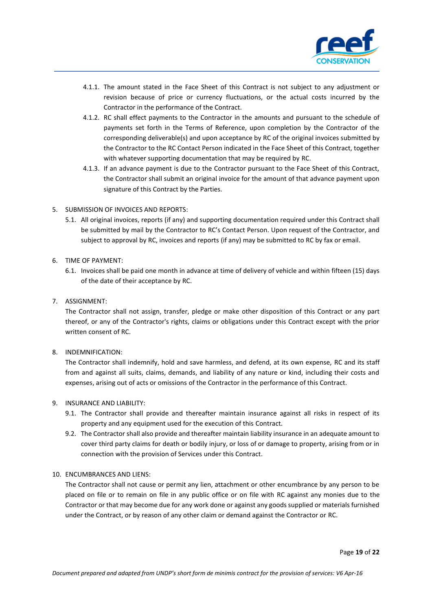

- 4.1.1. The amount stated in the Face Sheet of this Contract is not subject to any adjustment or revision because of price or currency fluctuations, or the actual costs incurred by the Contractor in the performance of the Contract.
- 4.1.2. RC shall effect payments to the Contractor in the amounts and pursuant to the schedule of payments set forth in the Terms of Reference, upon completion by the Contractor of the corresponding deliverable(s) and upon acceptance by RC of the original invoices submitted by the Contractor to the RC Contact Person indicated in the Face Sheet of this Contract, together with whatever supporting documentation that may be required by RC.
- 4.1.3. If an advance payment is due to the Contractor pursuant to the Face Sheet of this Contract, the Contractor shall submit an original invoice for the amount of that advance payment upon signature of this Contract by the Parties.
- 5. SUBMISSION OF INVOICES AND REPORTS:
	- 5.1. All original invoices, reports (if any) and supporting documentation required under this Contract shall be submitted by mail by the Contractor to RC's Contact Person. Upon request of the Contractor, and subject to approval by RC, invoices and reports (if any) may be submitted to RC by fax or email.
- 6. TIME OF PAYMENT:
	- 6.1. Invoices shall be paid one month in advance at time of delivery of vehicle and within fifteen (15) days of the date of their acceptance by RC.
- 7. ASSIGNMENT:

The Contractor shall not assign, transfer, pledge or make other disposition of this Contract or any part thereof, or any of the Contractor's rights, claims or obligations under this Contract except with the prior written consent of RC.

8. INDEMNIFICATION:

The Contractor shall indemnify, hold and save harmless, and defend, at its own expense, RC and its staff from and against all suits, claims, demands, and liability of any nature or kind, including their costs and expenses, arising out of acts or omissions of the Contractor in the performance of this Contract.

- 9. INSURANCE AND LIABILITY:
	- 9.1. The Contractor shall provide and thereafter maintain insurance against all risks in respect of its property and any equipment used for the execution of this Contract.
	- 9.2. The Contractor shall also provide and thereafter maintain liability insurance in an adequate amount to cover third party claims for death or bodily injury, or loss of or damage to property, arising from or in connection with the provision of Services under this Contract.
- 10. ENCUMBRANCES AND LIENS:

The Contractor shall not cause or permit any lien, attachment or other encumbrance by any person to be placed on file or to remain on file in any public office or on file with RC against any monies due to the Contractor or that may become due for any work done or against any goods supplied or materials furnished under the Contract, or by reason of any other claim or demand against the Contractor or RC.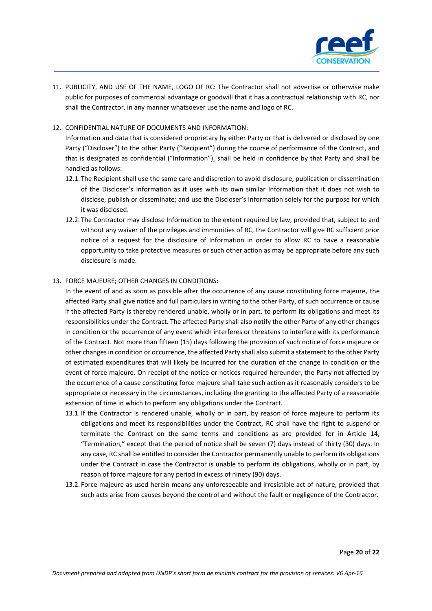

- 11. PUBLICITY, AND USE OF THE NAME, LOGO OF RC: The Contractor shall not advertise or otherwise make public for purposes of commercial advantage or goodwill that it has a contractual relationship with RC, nor shall the Contractor, in any manner whatsoever use the name and logo of RC.
- 12. CONFIDENTIAL NATURE OF DOCUMENTS AND INFORMATION:

Information and data that is considered proprietary by either Party or that is delivered or disclosed by one Party ("Discloser") to the other Party ("Recipient") during the course of performance of the Contract, and that is designated as confidential ("Information"), shall be held in confidence by that Party and shall be handled as follows:

- 12.1. The Recipient shall use the same care and discretion to avoid disclosure, publication or dissemination of the Discloser's Information as it uses with its own similar Information that it does not wish to disclose, publish or disseminate; and use the Discloser's Information solely for the purpose for which it was disclosed.
- 12.2. The Contractor may disclose Information to the extent required by law, provided that, subject to and without any waiver of the privileges and immunities of RC, the Contractor will give RC sufficient prior notice of a request for the disclosure of Information in order to allow RC to have a reasonable opportunity to take protective measures or such other action as may be appropriate before any such disclosure is made.

## 13. FORCE MAJEURE; OTHER CHANGES IN CONDITIONS:

In the event of and as soon as possible after the occurrence of any cause constituting force majeure, the affected Party shall give notice and full particulars in writing to the other Party, of such occurrence or cause if the affected Party is thereby rendered unable, wholly or in part, to perform its obligations and meet its responsibilities under the Contract. The affected Party shall also notify the other Party of any other changes in condition or the occurrence of any event which interferes or threatens to interfere with its performance of the Contract. Not more than fifteen (15) days following the provision of such notice of force majeure or other changes in condition or occurrence, the affected Party shall also submit a statement to the other Party of estimated expenditures that will likely be incurred for the duration of the change in condition or the event of force majeure. On receipt of the notice or notices required hereunder, the Party not affected by the occurrence of a cause constituting force majeure shall take such action as it reasonably considers to be appropriate or necessary in the circumstances, including the granting to the affected Party of a reasonable extension of time in which to perform any obligations under the Contract.

- 13.1. If the Contractor is rendered unable, wholly or in part, by reason of force majeure to perform its obligations and meet its responsibilities under the Contract, RC shall have the right to suspend or terminate the Contract on the same terms and conditions as are provided for in Article 14, "Termination," except that the period of notice shall be seven (7) days instead of thirty (30) days. In any case, RC shall be entitled to consider the Contractor permanently unable to perform its obligations under the Contract in case the Contractor is unable to perform its obligations, wholly or in part, by reason of force majeure for any period in excess of ninety (90) days.
- 13.2. Force majeure as used herein means any unforeseeable and irresistible act of nature, provided that such acts arise from causes beyond the control and without the fault or negligence of the Contractor.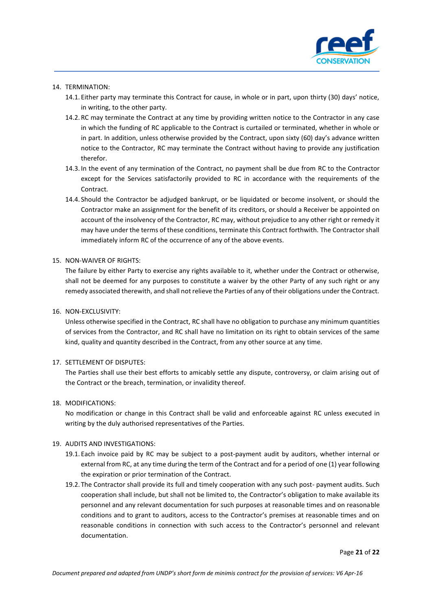

#### 14. TERMINATION:

- 14.1. Either party may terminate this Contract for cause, in whole or in part, upon thirty (30) days' notice, in writing, to the other party.
- 14.2. RC may terminate the Contract at any time by providing written notice to the Contractor in any case in which the funding of RC applicable to the Contract is curtailed or terminated, whether in whole or in part. In addition, unless otherwise provided by the Contract, upon sixty (60) day's advance written notice to the Contractor, RC may terminate the Contract without having to provide any justification therefor.
- 14.3. In the event of any termination of the Contract, no payment shall be due from RC to the Contractor except for the Services satisfactorily provided to RC in accordance with the requirements of the **Contract**
- 14.4. Should the Contractor be adjudged bankrupt, or be liquidated or become insolvent, or should the Contractor make an assignment for the benefit of its creditors, or should a Receiver be appointed on account of the insolvency of the Contractor, RC may, without prejudice to any other right or remedy it may have under the terms of these conditions, terminate this Contract forthwith. The Contractor shall immediately inform RC of the occurrence of any of the above events.

#### 15. NON-WAIVER OF RIGHTS:

The failure by either Party to exercise any rights available to it, whether under the Contract or otherwise, shall not be deemed for any purposes to constitute a waiver by the other Party of any such right or any remedy associated therewith, and shall not relieve the Parties of any of their obligations under the Contract.

#### 16. NON-EXCLUSIVITY:

Unless otherwise specified in the Contract, RC shall have no obligation to purchase any minimum quantities of services from the Contractor, and RC shall have no limitation on its right to obtain services of the same kind, quality and quantity described in the Contract, from any other source at any time.

#### 17. SETTLEMENT OF DISPUTES:

The Parties shall use their best efforts to amicably settle any dispute, controversy, or claim arising out of the Contract or the breach, termination, or invalidity thereof.

#### 18. MODIFICATIONS:

No modification or change in this Contract shall be valid and enforceable against RC unless executed in writing by the duly authorised representatives of the Parties.

## 19. AUDITS AND INVESTIGATIONS:

- 19.1. Each invoice paid by RC may be subject to a post-payment audit by auditors, whether internal or external from RC, at any time during the term of the Contract and for a period of one (1) year following the expiration or prior termination of the Contract.
- 19.2. The Contractor shall provide its full and timely cooperation with any such post- payment audits. Such cooperation shall include, but shall not be limited to, the Contractor's obligation to make available its personnel and any relevant documentation for such purposes at reasonable times and on reasonable conditions and to grant to auditors, access to the Contractor's premises at reasonable times and on reasonable conditions in connection with such access to the Contractor's personnel and relevant documentation.